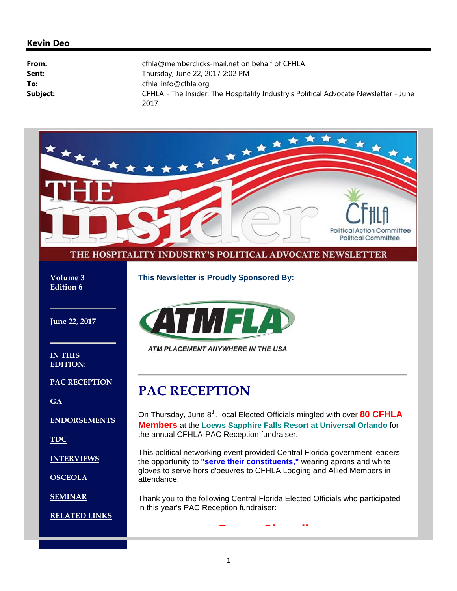#### **Kevin Deo**

| From:    | cfhla@memberclicks-mail.net on behalf of CFHLA                                               |
|----------|----------------------------------------------------------------------------------------------|
| Sent:    | Thursday, June 22, 2017 2:02 PM                                                              |
| To:      | cfhla_info@cfhla.org                                                                         |
| Subject: | CFHLA - The Insider: The Hospitality Industry's Political Advocate Newsletter - June<br>2017 |

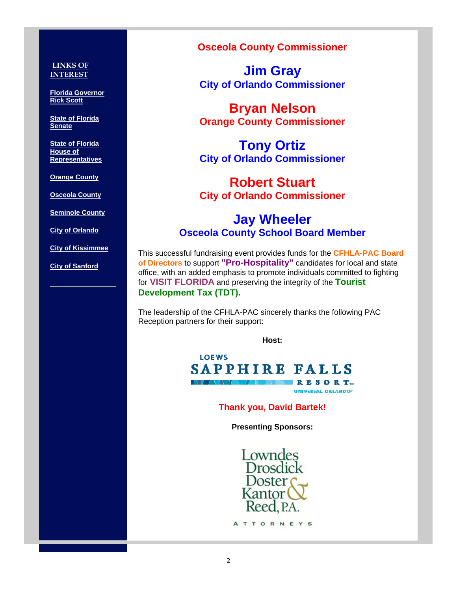#### **LINKS OF INTEREST**

**Florida Governor Rick Scott**

**State of Florida Senate**

**State of Florida House of Representatives**

**Orange County**

**Osceola County**

**Seminole County**

**City of Orlando**

**City of Kissimmee**

**City of Sanford**

#### **Osceola County Commissioner**

**Jim Gray City of Orlando Commissioner**

**Bryan Nelson Orange County Commissioner**

**Tony Ortiz City of Orlando Commissioner**

## **Robert Stuart City of Orlando Commissioner**

## **Jay Wheeler Osceola County School Board Member**

This successful fundraising event provides funds for the **CFHLA-PAC Board of Directors** to support **"Pro-Hospitality"** candidates for local and state office, with an added emphasis to promote individuals committed to fighting for **VISIT FLORIDA** and preserving the integrity of the **Tourist Development Tax (TDT).**

The leadership of the CFHLA-PAC sincerely thanks the following PAC Reception partners for their support:

**Host:**

**LOEWS** SAPPHIRE FALLS RESORT-**UNIVERSAL ORLANDO®** 

**Thank you, David Bartek!**

**Presenting Sponsors:** 

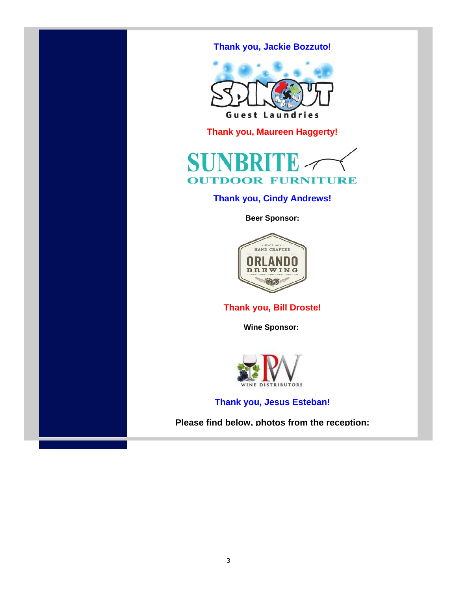### **Thank you, Jackie Bozzuto!**



**Thank you, Maureen Haggerty!** 



#### **Thank you, Cindy Andrews!**

**Beer Sponsor:**



#### **Thank you, Bill Droste!**

**Wine Sponsor:** 



**Thank you, Jesus Esteban!**

**Please find below, photos from the reception:**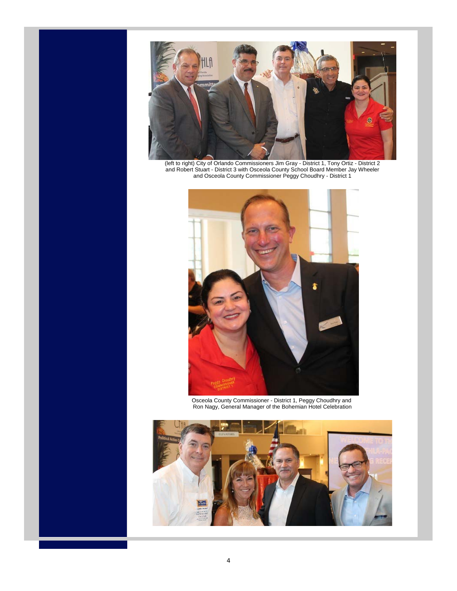

(left to right) City of Orlando Commissioners Jim Gray - District 1, Tony Ortiz - District 2 and Robert Stuart - District 3 with Osceola County School Board Member Jay Wheeler and Osceola County Commissioner Peggy Choudhry - District 1



Osceola County Commissioner - District 1, Peggy Choudhry and Ron Nagy, General Manager of the Bohemian Hotel Celebration

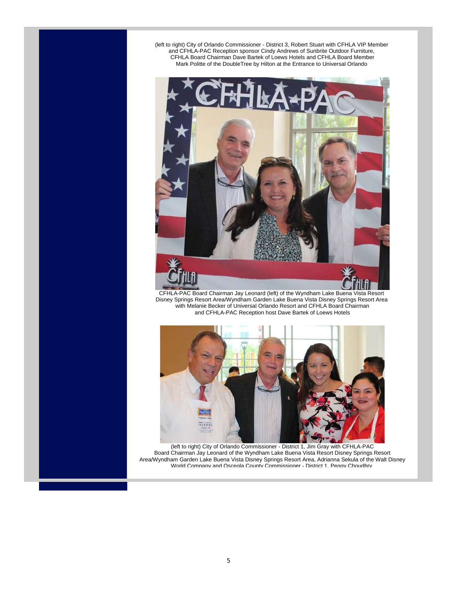(left to right) City of Orlando Commissioner - District 3, Robert Stuart with CFHLA VIP Member and CFHLA-PAC Reception sponsor Cindy Andrews of Sunbrite Outdoor Furniture, CFHLA Board Chairman Dave Bartek of Loews Hotels and CFHLA Board Member Mark Politte of the DoubleTree by Hilton at the Entrance to Universal Orlando



CFHLA-PAC Board Chairman Jay Leonard (left) of the Wyndham Lake Buena Vista Resort Disney Springs Resort Area/Wyndham Garden Lake Buena Vista Disney Springs Resort Area with Melanie Becker of Universal Orlando Resort and CFHLA Board Chairman and CFHLA-PAC Reception host Dave Bartek of Loews Hotels



(left to right) City of Orlando Commissioner - District 1, Jim Gray with CFHLA-PAC Board Chairman Jay Leonard of the Wyndham Lake Buena Vista Resort Disney Springs Resort Area/Wyndham Garden Lake Buena Vista Disney Springs Resort Area, Adrianna Sekula of the Walt Disney World Company and Osceola County Commissioner - District 1, Peggy Choudhry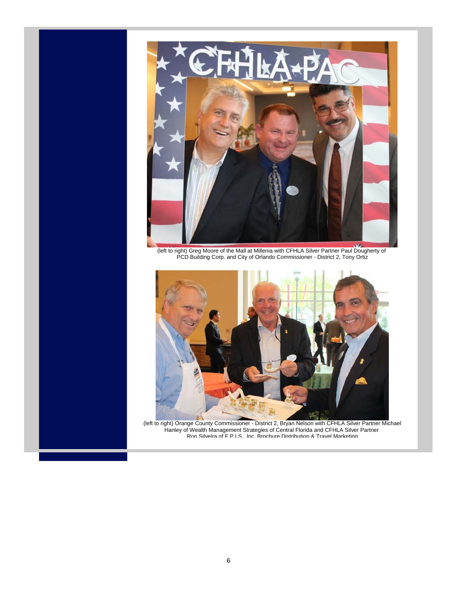

(left to right) Greg Moore of the Mall at Millenia with CFHLA Silver Partner Paul Dougherty of PCD Building Corp. and City of Orlando Commissioner - District 2, Tony Ortiz



(left to right) Orange County Commissioner - District 2, Bryan Nelson with CFHLA Silver Partner Michael Hanley of Wealth Management Strategies of Central Florida and CFHLA Silver Partner Ron Silveira of F.P.I.S., Inc. Brochure Distribution & Travel Marketing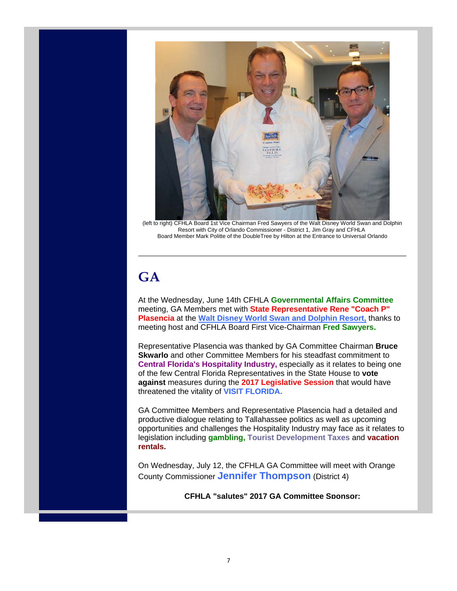

(left to right) CFHLA Board 1st Vice Chairman Fred Sawyers of the Walt Disney World Swan and Dolphin Resort with City of Orlando Commissioner - District 1, Jim Gray and CFHLA Board Member Mark Politte of the DoubleTree by Hilton at the Entrance to Universal Orlando

# **GA**

At the Wednesday, June 14th CFHLA **Governmental Affairs Committee** meeting, GA Members met with **State Representative Rene "Coach P" Plasencia** at the **Walt Disney World Swan and Dolphin Resort,** thanks to meeting host and CFHLA Board First Vice-Chairman **Fred Sawyers.**

Representative Plasencia was thanked by GA Committee Chairman **Bruce Skwarlo** and other Committee Members for his steadfast commitment to **Central Florida's Hospitality Industry,** especially as it relates to being one of the few Central Florida Representatives in the State House to **vote against** measures during the **2017 Legislative Session** that would have threatened the vitality of **VISIT FLORIDA.**

GA Committee Members and Representative Plasencia had a detailed and productive dialogue relating to Tallahassee politics as well as upcoming opportunities and challenges the Hospitality Industry may face as it relates to legislation including **gambling, Tourist Development Taxes** and **vacation rentals.**

On Wednesday, July 12, the CFHLA GA Committee will meet with Orange County Commissioner **Jennifer Thompson** (District 4)

**CFHLA "salutes" 2017 GA Committee Sponsor:**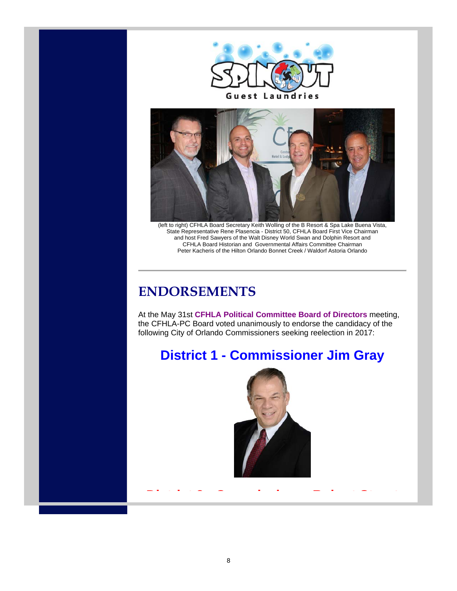



(left to right) CFHLA Board Secretary Keith Wolling of the B Resort & Spa Lake Buena Vista, State Representative Rene Plasencia - District 50, CFHLA Board First Vice Chairman and host Fred Sawyers of the Walt Disney World Swan and Dolphin Resort and CFHLA Board Historian and Governmental Affairs Committee Chairman Peter Kacheris of the Hilton Orlando Bonnet Creek / Waldorf Astoria Orlando

# **ENDORSEMENTS**

At the May 31st **CFHLA Political Committee Board of Directors** meeting, the CFHLA-PC Board voted unanimously to endorse the candidacy of the following City of Orlando Commissioners seeking reelection in 2017:

# **District 1 - Commissioner Jim Gray**



**District 3 - Commissioner Robert Stuart**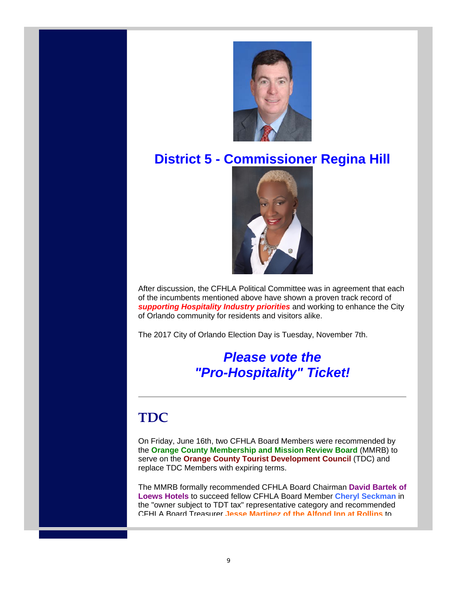

# **District 5 - Commissioner Regina Hill**



After discussion, the CFHLA Political Committee was in agreement that each of the incumbents mentioned above have shown a proven track record of *supporting Hospitality Industry priorities* and working to enhance the City of Orlando community for residents and visitors alike.

The 2017 City of Orlando Election Day is Tuesday, November 7th.

## *Please vote the "Pro-Hospitality" Ticket!*

# **TDC**

On Friday, June 16th, two CFHLA Board Members were recommended by the **Orange County Membership and Mission Review Board** (MMRB) to serve on the **Orange County Tourist Development Council** (TDC) and replace TDC Members with expiring terms.

The MMRB formally recommended CFHLA Board Chairman **David Bartek of Loews Hotels** to succeed fellow CFHLA Board Member **Cheryl Seckman** in the "owner subject to TDT tax" representative category and recommended CFHLA Board Treasurer **Jesse Martinez of the Alfond Inn at Rollins** to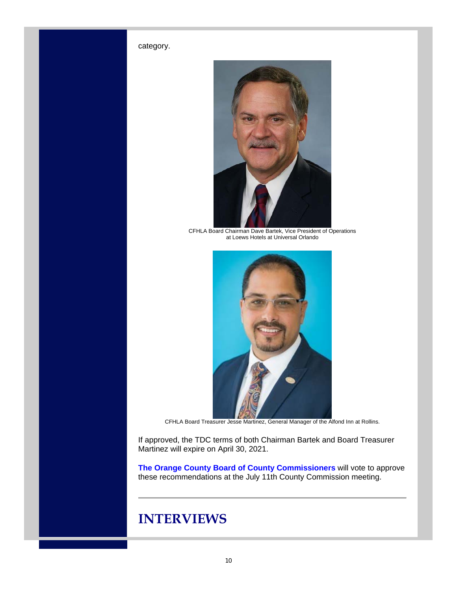#### category.



CFHLA Board Chairman Dave Bartek, Vice President of Operations at Loews Hotels at Universal Orlando



CFHLA Board Treasurer Jesse Martinez, General Manager of the Alfond Inn at Rollins.

If approved, the TDC terms of both Chairman Bartek and Board Treasurer Martinez will expire on April 30, 2021.

**The Orange County Board of County Commissioners** will vote to approve these recommendations at the July 11th County Commission meeting.

## **INTERVIEWS**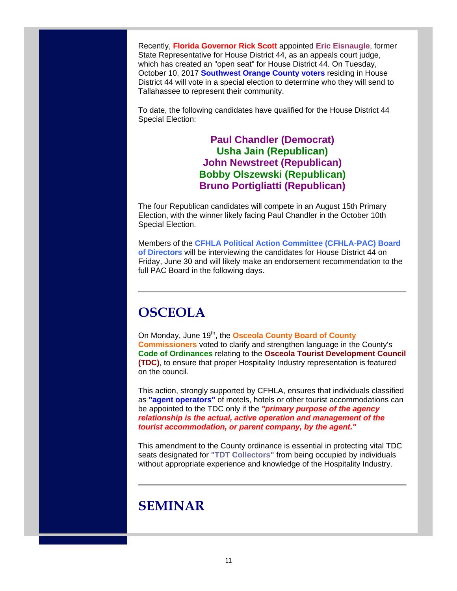Recently, **Florida Governor Rick Scott** appointed **Eric Eisnaugle**, former State Representative for House District 44, as an appeals court judge, which has created an "open seat" for House District 44. On Tuesday, October 10, 2017 **Southwest Orange County voters** residing in House District 44 will vote in a special election to determine who they will send to Tallahassee to represent their community.

To date, the following candidates have qualified for the House District 44 Special Election:

### **Paul Chandler (Democrat) Usha Jain (Republican) John Newstreet (Republican) Bobby Olszewski (Republican) Bruno Portigliatti (Republican)**

The four Republican candidates will compete in an August 15th Primary Election, with the winner likely facing Paul Chandler in the October 10th Special Election.

Members of the **CFHLA Political Action Committee (CFHLA-PAC) Board of Directors** will be interviewing the candidates for House District 44 on Friday, June 30 and will likely make an endorsement recommendation to the full PAC Board in the following days.

# **OSCEOLA**

On Monday, June 19<sup>th</sup>, the **Osceola County Board of County Commissioners** voted to clarify and strengthen language in the County's **Code of Ordinances** relating to the **Osceola Tourist Development Council (TDC)**, to ensure that proper Hospitality Industry representation is featured on the council.

This action, strongly supported by CFHLA, ensures that individuals classified as **"agent operators"** of motels, hotels or other tourist accommodations can be appointed to the TDC only if the *"primary purpose of the agency relationship is the actual, active operation and management of the tourist accommodation, or parent company, by the agent."*

This amendment to the County ordinance is essential in protecting vital TDC seats designated for **"TDT Collectors"** from being occupied by individuals without appropriate experience and knowledge of the Hospitality Industry.

## **SEMINAR**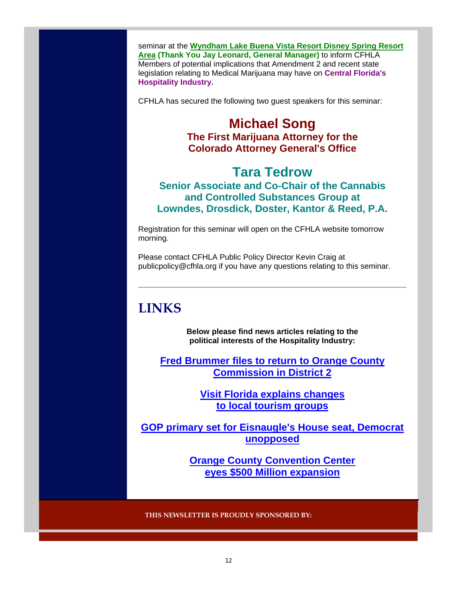seminar at the **Wyndham Lake Buena Vista Resort Disney Spring Resort Area (Thank You Jay Leonard, General Manager)** to inform CFHLA Members of potential implications that Amendment 2 and recent state legislation relating to Medical Marijuana may have on **Central Florida's Hospitality Industry.**

CFHLA has secured the following two guest speakers for this seminar:

### **Michael Song The First Marijuana Attorney for the Colorado Attorney General's Office**

### **Tara Tedrow Senior Associate and Co-Chair of the Cannabis and Controlled Substances Group at Lowndes, Drosdick, Doster, Kantor & Reed, P.A.**

Registration for this seminar will open on the CFHLA website tomorrow morning.

Please contact CFHLA Public Policy Director Kevin Craig at publicpolicy@cfhla.org if you have any questions relating to this seminar.

# **LINKS**

**Below please find news articles relating to the political interests of the Hospitality Industry:**

**Fred Brummer files to return to Orange County Commission in District 2**

> **Visit Florida explains changes to local tourism groups**

**GOP primary set for Eisnaugle's House seat, Democrat unopposed**

> **Orange County Convention Center eyes \$500 Million expansion**

**THIS NEWSLETTER IS PROUDLY SPONSORED BY:**